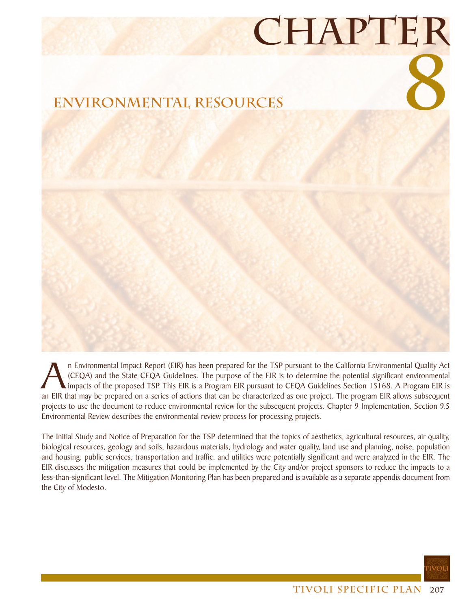## **Chapter**



In Environmental Impact Report (EIR) has been prepared for the TSP pursuant to the California Environmental Quality Act (CEQA) and the State CEQA Guidelines. The purpose of the EIR is to determine the potential significant (CEQA) and the State CEQA Guidelines. The purpose of the EIR is to determine the potential significant environmental impacts of the proposed TSP. This EIR is a Program EIR pursuant to CEQA Guidelines Section 15168. A Program EIR is an EIR that may be prepared on a series of actions that can be characterized as one project. The program EIR allows subsequent projects to use the document to reduce environmental review for the subsequent projects. Chapter 9 Implementation, Section 9.5 Environmental Review describes the environmental review process for processing projects.

The Initial Study and Notice of Preparation for the TSP determined that the topics of aesthetics, agricultural resources, air quality, biological resources, geology and soils, hazardous materials, hydrology and water quality, land use and planning, noise, population and housing, public services, transportation and traffic, and utilities were potentially significant and were analyzed in the EIR. The EIR discusses the mitigation measures that could be implemented by the City and/or project sponsors to reduce the impacts to a less-than-significant level. The Mitigation Monitoring Plan has been prepared and is available as a separate appendix document from the City of Modesto.